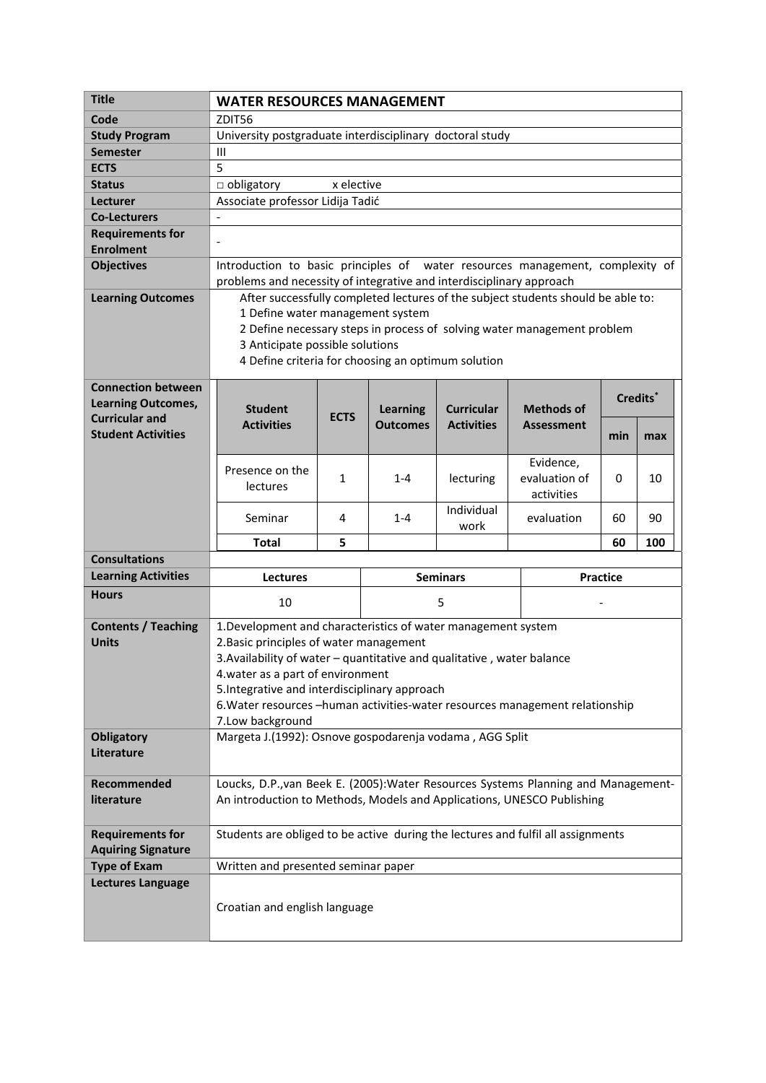| <b>Title</b>                                                                    | <b>WATER RESOURCES MANAGEMENT</b>                                                                                                                            |                                   |                                    |                                        |                                        |          |     |  |
|---------------------------------------------------------------------------------|--------------------------------------------------------------------------------------------------------------------------------------------------------------|-----------------------------------|------------------------------------|----------------------------------------|----------------------------------------|----------|-----|--|
| Code                                                                            | ZDIT56                                                                                                                                                       |                                   |                                    |                                        |                                        |          |     |  |
| <b>Study Program</b>                                                            | University postgraduate interdisciplinary doctoral study                                                                                                     |                                   |                                    |                                        |                                        |          |     |  |
| <b>Semester</b>                                                                 | $\mathbf{III}$                                                                                                                                               |                                   |                                    |                                        |                                        |          |     |  |
| <b>ECTS</b>                                                                     | 5                                                                                                                                                            |                                   |                                    |                                        |                                        |          |     |  |
| <b>Status</b>                                                                   | $\Box$ obligatory<br>x elective                                                                                                                              |                                   |                                    |                                        |                                        |          |     |  |
| Lecturer                                                                        | Associate professor Lidija Tadić                                                                                                                             |                                   |                                    |                                        |                                        |          |     |  |
| <b>Co-Lecturers</b>                                                             | $\overline{\phantom{a}}$                                                                                                                                     |                                   |                                    |                                        |                                        |          |     |  |
| <b>Requirements for</b>                                                         | $\overline{\phantom{a}}$                                                                                                                                     |                                   |                                    |                                        |                                        |          |     |  |
| <b>Enrolment</b>                                                                |                                                                                                                                                              |                                   |                                    |                                        |                                        |          |     |  |
| <b>Objectives</b>                                                               | Introduction to basic principles of water resources management, complexity of<br>problems and necessity of integrative and interdisciplinary approach        |                                   |                                    |                                        |                                        |          |     |  |
| <b>Learning Outcomes</b>                                                        | After successfully completed lectures of the subject students should be able to:                                                                             |                                   |                                    |                                        |                                        |          |     |  |
|                                                                                 | 1 Define water management system                                                                                                                             |                                   |                                    |                                        |                                        |          |     |  |
|                                                                                 | 2 Define necessary steps in process of solving water management problem                                                                                      |                                   |                                    |                                        |                                        |          |     |  |
|                                                                                 | 3 Anticipate possible solutions                                                                                                                              |                                   |                                    |                                        |                                        |          |     |  |
|                                                                                 | 4 Define criteria for choosing an optimum solution                                                                                                           |                                   |                                    |                                        |                                        |          |     |  |
| <b>Connection between</b><br><b>Learning Outcomes,</b><br><b>Curricular and</b> | <b>Student</b><br><b>Activities</b>                                                                                                                          | <b>ECTS</b>                       | <b>Learning</b><br><b>Outcomes</b> | <b>Curricular</b><br><b>Activities</b> | <b>Methods of</b><br><b>Assessment</b> | Credits* |     |  |
| <b>Student Activities</b>                                                       |                                                                                                                                                              |                                   |                                    |                                        |                                        | min      | max |  |
|                                                                                 | Presence on the                                                                                                                                              |                                   |                                    |                                        | Evidence,                              |          |     |  |
|                                                                                 | <b>lectures</b>                                                                                                                                              | 1                                 | $1 - 4$                            | lecturing                              | evaluation of                          | 0        | 10  |  |
|                                                                                 |                                                                                                                                                              |                                   |                                    |                                        | activities                             |          |     |  |
|                                                                                 | Seminar                                                                                                                                                      | 4                                 | $1 - 4$                            | Individual<br>work                     | evaluation                             | 60       | 90  |  |
|                                                                                 | <b>Total</b>                                                                                                                                                 | 5                                 |                                    |                                        |                                        | 60       | 100 |  |
| <b>Consultations</b>                                                            |                                                                                                                                                              |                                   |                                    |                                        |                                        |          |     |  |
| <b>Learning Activities</b>                                                      | <b>Lectures</b>                                                                                                                                              |                                   | <b>Seminars</b>                    |                                        | <b>Practice</b>                        |          |     |  |
| <b>Hours</b>                                                                    | 10                                                                                                                                                           |                                   | 5                                  |                                        |                                        |          |     |  |
| <b>Contents / Teaching</b>                                                      | 1. Development and characteristics of water management system                                                                                                |                                   |                                    |                                        |                                        |          |     |  |
| <b>Units</b>                                                                    | 2. Basic principles of water management                                                                                                                      |                                   |                                    |                                        |                                        |          |     |  |
|                                                                                 | 3. Availability of water - quantitative and qualitative, water balance                                                                                       |                                   |                                    |                                        |                                        |          |     |  |
|                                                                                 |                                                                                                                                                              | 4. water as a part of environment |                                    |                                        |                                        |          |     |  |
|                                                                                 | 5. Integrative and interdisciplinary approach                                                                                                                |                                   |                                    |                                        |                                        |          |     |  |
|                                                                                 | 6. Water resources -human activities-water resources management relationship                                                                                 |                                   |                                    |                                        |                                        |          |     |  |
| <b>Obligatory</b>                                                               | 7.Low background<br>Margeta J.(1992): Osnove gospodarenja vodama, AGG Split                                                                                  |                                   |                                    |                                        |                                        |          |     |  |
| Literature                                                                      |                                                                                                                                                              |                                   |                                    |                                        |                                        |          |     |  |
|                                                                                 |                                                                                                                                                              |                                   |                                    |                                        |                                        |          |     |  |
| Recommended                                                                     |                                                                                                                                                              |                                   |                                    |                                        |                                        |          |     |  |
| literature                                                                      | Loucks, D.P., van Beek E. (2005): Water Resources Systems Planning and Management-<br>An introduction to Methods, Models and Applications, UNESCO Publishing |                                   |                                    |                                        |                                        |          |     |  |
|                                                                                 |                                                                                                                                                              |                                   |                                    |                                        |                                        |          |     |  |
| <b>Requirements for</b>                                                         | Students are obliged to be active during the lectures and fulfil all assignments                                                                             |                                   |                                    |                                        |                                        |          |     |  |
| <b>Aquiring Signature</b>                                                       |                                                                                                                                                              |                                   |                                    |                                        |                                        |          |     |  |
| <b>Type of Exam</b>                                                             | Written and presented seminar paper                                                                                                                          |                                   |                                    |                                        |                                        |          |     |  |
| <b>Lectures Language</b>                                                        |                                                                                                                                                              |                                   |                                    |                                        |                                        |          |     |  |
|                                                                                 | Croatian and english language                                                                                                                                |                                   |                                    |                                        |                                        |          |     |  |
|                                                                                 |                                                                                                                                                              |                                   |                                    |                                        |                                        |          |     |  |